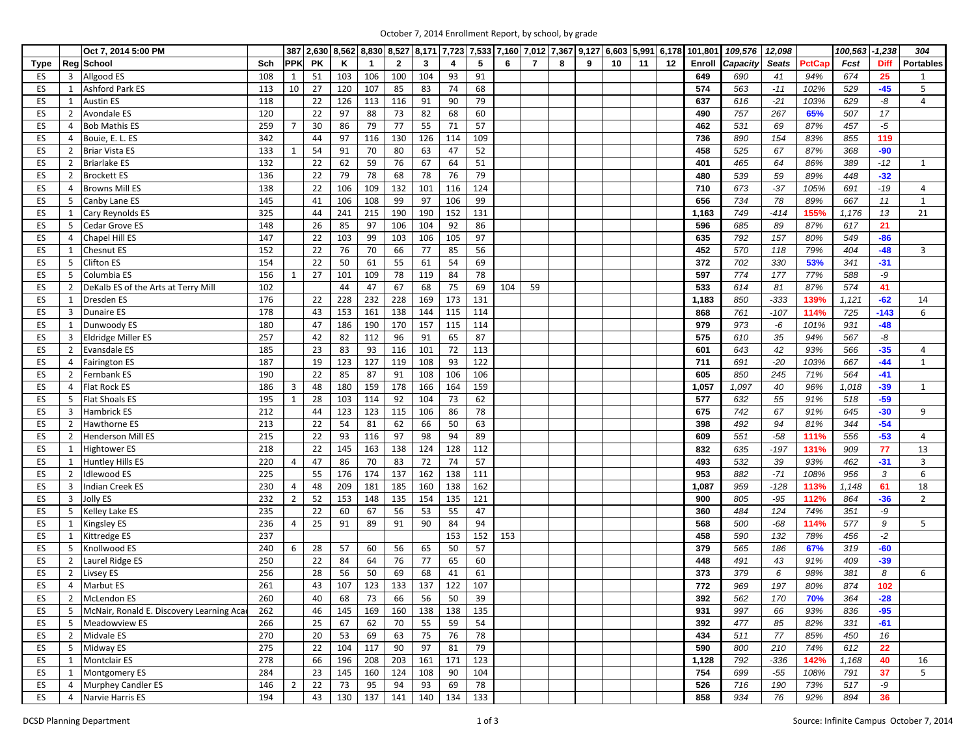|      |                | Oct 7, 2014 5:00 PM                      |     |                |           |     |              |                |     |                         |     |     |                |   | 387   2,630   8,562   8,830   8,527   8,171   7,723   7,533   7,160   7,012   7,367   9,127   6,603   5,991 |    |    |    | 6,178 101,801 | 109,576  | 12,098       |        | 100,563 | $-1,238$    | 304              |
|------|----------------|------------------------------------------|-----|----------------|-----------|-----|--------------|----------------|-----|-------------------------|-----|-----|----------------|---|-------------------------------------------------------------------------------------------------------------|----|----|----|---------------|----------|--------------|--------|---------|-------------|------------------|
| Type |                | Reg School                               | Sch | <b>PPK</b>     | <b>PK</b> | K   | $\mathbf{1}$ | $\overline{2}$ | 3   | $\overline{\mathbf{4}}$ | 5   | 6   | $\overline{7}$ | 8 | 9                                                                                                           | 10 | 11 | 12 | Enroll        | Capacity | <b>Seats</b> | PctCap | Fcst    | <b>Diff</b> | <b>Portables</b> |
| ES   | 3              | Allgood ES                               | 108 | 1              | 51        | 103 | 106          | 100            | 104 | 93                      | 91  |     |                |   |                                                                                                             |    |    |    | 649           | 690      | 41           | 94%    | 674     | 25          | 1                |
| ES   | 1              | <b>Ashford Park ES</b>                   | 113 | 10             | 27        | 120 | 107          | 85             | 83  | 74                      | 68  |     |                |   |                                                                                                             |    |    |    | 574           | 563      | $-11$        | 102%   | 529     | $-45$       | 5                |
| ES   | 1              | <b>Austin ES</b>                         | 118 |                | 22        | 126 | 113          | 116            | 91  | 90                      | 79  |     |                |   |                                                                                                             |    |    |    | 637           | 616      | $-21$        | 103%   | 629     | -8          | 4                |
| ES   | $\overline{2}$ | <b>Avondale ES</b>                       | 120 |                | 22        | 97  | 88           | 73             | 82  | 68                      | 60  |     |                |   |                                                                                                             |    |    |    | 490           | 757      | 267          | 65%    | 507     | $17$        |                  |
| ES   | 4              | <b>Bob Mathis ES</b>                     | 259 | 7              | 30        | 86  | 79           | 77             | 55  | 71                      | 57  |     |                |   |                                                                                                             |    |    |    | 462           | 531      | 69           | 87%    | 457     | $-5$        |                  |
| ES   | 4              | Bouie, E. L. ES                          | 342 |                | 44        | 97  | 116          | 130            | 126 | 114                     | 109 |     |                |   |                                                                                                             |    |    |    | 736           | 890      | 154          | 83%    | 855     | 119         |                  |
| ES   | 2              | <b>Briar Vista ES</b>                    | 133 |                | 54        | 91  | 70           | 80             | 63  | 47                      | 52  |     |                |   |                                                                                                             |    |    |    | 458           | 525      | 67           | 87%    | 368     | $-90$       |                  |
| ES   | $\overline{2}$ | <b>Briarlake ES</b>                      | 132 |                | 22        | 62  | 59           | 76             | 67  | 64                      | 51  |     |                |   |                                                                                                             |    |    |    | 401           | 465      | 64           | 86%    | 389     | $-12$       | 1                |
| ES   | $\overline{2}$ | <b>Brockett ES</b>                       | 136 |                | 22        | 79  | 78           | 68             | 78  | 76                      | 79  |     |                |   |                                                                                                             |    |    |    | 480           | 539      | 59           | 89%    | 448     | $-32$       |                  |
| ES   | $\overline{4}$ | <b>Browns Mill ES</b>                    | 138 |                | 22        | 106 | 109          | 132            | 101 | 116                     | 124 |     |                |   |                                                                                                             |    |    |    | 710           | 673      | $-37$        | 105%   | 691     | $-19$       | 4                |
| ES   | 5              | Canby Lane ES                            | 145 |                | 41        | 106 | 108          | 99             | 97  | 106                     | 99  |     |                |   |                                                                                                             |    |    |    | 656           | 734      | 78           | 89%    | 667     | 11          | $\mathbf{1}$     |
| ES   | 1              | Cary Reynolds ES                         | 325 |                | 44        | 241 | 215          | 190            | 190 | 152                     | 131 |     |                |   |                                                                                                             |    |    |    | 1,163         | 749      | $-414$       | 155%   | 1,176   | 13          | 21               |
| ES   | 5              | Cedar Grove ES                           | 148 |                | 26        | 85  | 97           | 106            | 104 | 92                      | 86  |     |                |   |                                                                                                             |    |    |    | 596           | 685      | 89           | 87%    | 617     | 21          |                  |
| ES   | $\overline{4}$ | Chapel Hill ES                           | 147 |                | 22        | 103 | 99           | 103            | 106 | 105                     | 97  |     |                |   |                                                                                                             |    |    |    | 635           | 792      | 157          | 80%    | 549     | $-86$       |                  |
| ES   | 1              | <b>Chesnut ES</b>                        | 152 |                | 22        | 76  | 70           | 66             | 77  | 85                      | 56  |     |                |   |                                                                                                             |    |    |    | 452           | 570      | 118          | 79%    | 404     | $-48$       | 3                |
| ES   | 5              | <b>Clifton ES</b>                        | 154 |                | 22        | 50  | 61           | 55             | 61  | 54                      | 69  |     |                |   |                                                                                                             |    |    |    | 372           | 702      | 330          | 53%    | 341     | $-31$       |                  |
| ES   | 5              | Columbia ES                              | 156 | 1              | 27        | 101 | 109          | 78             | 119 | 84                      | 78  |     |                |   |                                                                                                             |    |    |    | 597           | 774      | 177          | 77%    | 588     | -9          |                  |
| ES   | $\overline{2}$ | DeKalb ES of the Arts at Terry Mill      | 102 |                |           | 44  | 47           | 67             | 68  | 75                      | 69  | 104 | 59             |   |                                                                                                             |    |    |    | 533           | 614      | 81           | 87%    | 574     | 41          |                  |
| ES   | 1              | <b>Dresden ES</b>                        | 176 |                | 22        | 228 | 232          | 228            | 169 | 173                     | 131 |     |                |   |                                                                                                             |    |    |    | 1,183         | 850      | $-333$       | 139%   | 1,121   | $-62$       | 14               |
| ES   | 3              | <b>Dunaire ES</b>                        | 178 |                | 43        | 153 | 161          | 138            | 144 | 115                     | 114 |     |                |   |                                                                                                             |    |    |    | 868           | 761      | $-107$       | 114%   | 725     | $-143$      | 6                |
| ES   | 1              | Dunwoody ES                              | 180 |                | 47        | 186 | 190          | 170            | 157 | 115                     | 114 |     |                |   |                                                                                                             |    |    |    | 979           | 973      | -6           | 101%   | 931     | $-48$       |                  |
| ES   | 3              | <b>Eldridge Miller ES</b>                | 257 |                | 42        | 82  | 112          | 96             | 91  | 65                      | 87  |     |                |   |                                                                                                             |    |    |    | 575           | 610      | 35           | 94%    | 567     | -8          |                  |
| ES   | $\overline{2}$ | <b>Evansdale ES</b>                      | 185 |                | 23        | 83  | 93           | 116            | 101 | 72                      | 113 |     |                |   |                                                                                                             |    |    |    | 601           | 643      | 42           | 93%    | 566     | $-35$       | 4                |
| ES   | 4              | <b>Fairington ES</b>                     | 187 |                | 19        | 123 | 127          | 119            | 108 | 93                      | 122 |     |                |   |                                                                                                             |    |    |    | 711           | 691      | $-20$        | 103%   | 667     | -44         | $\mathbf{1}$     |
| ES   | 2              | Fernbank ES                              | 190 |                | 22        | 85  | 87           | 91             | 108 | 106                     | 106 |     |                |   |                                                                                                             |    |    |    | 605           | 850      | 245          | 71%    | 564     | $-41$       |                  |
| ES   | 4              | <b>Flat Rock ES</b>                      | 186 | 3              | 48        | 180 | 159          | 178            | 166 | 164                     | 159 |     |                |   |                                                                                                             |    |    |    | 1,057         | 1,097    | 40           | 96%    | 1,018   | $-39$       | 1                |
| ES   | 5              | <b>Flat Shoals ES</b>                    | 195 | $\mathbf{1}$   | 28        | 103 | 114          | 92             | 104 | 73                      | 62  |     |                |   |                                                                                                             |    |    |    | 577           | 632      | 55           | 91%    | 518     | $-59$       |                  |
| ES   | 3              | Hambrick ES                              | 212 |                | 44        | 123 | 123          | 115            | 106 | 86                      | 78  |     |                |   |                                                                                                             |    |    |    | 675           | 742      | 67           | 91%    | 645     | $-30$       | 9                |
| ES   | $\overline{2}$ | Hawthorne ES                             | 213 |                | 22        | 54  | 81           | 62             | 66  | 50                      | 63  |     |                |   |                                                                                                             |    |    |    | 398           | 492      | 94           | 81%    | 344     | $-54$       |                  |
| ES   | $\overline{2}$ | <b>Henderson Mill ES</b>                 | 215 |                | 22        | 93  | 116          | 97             | 98  | 94                      | 89  |     |                |   |                                                                                                             |    |    |    | 609           | 551      | $-58$        | 111%   | 556     | $-53$       | 4                |
| ES   | 1              | <b>Hightower ES</b>                      | 218 |                | 22        | 145 | 163          | 138            | 124 | 128                     | 112 |     |                |   |                                                                                                             |    |    |    | 832           | 635      | $-197$       | 131%   | 909     | 77          | 13               |
| ES   | 1              | <b>Huntley Hills ES</b>                  | 220 | 4              | 47        | 86  | 70           | 83             | 72  | 74                      | 57  |     |                |   |                                                                                                             |    |    |    | 493           | 532      | 39           | 93%    | 462     | $-31$       | 3                |
| ES   | $\overline{2}$ | <b>Idlewood ES</b>                       | 225 |                | 55        | 176 | 174          | 137            | 162 | 138                     | 111 |     |                |   |                                                                                                             |    |    |    | 953           | 882      | $-71$        | 108%   | 956     | 3           | 6                |
| ES   | 3              | <b>Indian Creek ES</b>                   | 230 | 4              | 48        | 209 | 181          | 185            | 160 | 138                     | 162 |     |                |   |                                                                                                             |    |    |    | 1,087         | 959      | $-128$       | 113%   | 1,148   | 61          | 18               |
| ES   | 3              | Jolly ES                                 | 232 | $\overline{2}$ | 52        | 153 | 148          | 135            | 154 | 135                     | 121 |     |                |   |                                                                                                             |    |    |    | 900           | 805      | $-95$        | 112%   | 864     | $-36$       | $\overline{2}$   |
| ES   | 5              | Kelley Lake ES                           | 235 |                | 22        | 60  | 67           | 56             | 53  | 55                      | 47  |     |                |   |                                                                                                             |    |    |    | 360           | 484      | 124          | 74%    | 351     | -9          |                  |
| ES   | 1              | <b>Kingsley ES</b>                       | 236 | 4              | 25        | 91  | 89           | 91             | 90  | 84                      | 94  |     |                |   |                                                                                                             |    |    |    | 568           | 500      | $-68$        | 114%   | 577     | 9           | 5                |
| ES   | 1              | Kittredge ES                             | 237 |                |           |     |              |                |     | 153                     | 152 | 153 |                |   |                                                                                                             |    |    |    | 458           | 590      | 132          | 78%    | 456     | $-2$        |                  |
| ES   | 5              | Knollwood ES                             | 240 | 6              | 28        | 57  | 60           | 56             | 65  | 50                      | 57  |     |                |   |                                                                                                             |    |    |    | 379           | 565      | 186          | 67%    | 319     | $-60$       |                  |
| ES   | $2^{\circ}$    | Laurel Ridge ES                          | 250 |                | 22        | 84  | 64           | 76             | 77  | 65                      | 60  |     |                |   |                                                                                                             |    |    |    | 448           | 491      | 43           | 91%    | 409     | -39         |                  |
| ES   | 2              | Livsey ES                                | 256 |                | 28        | 56  | 50           | 69             | 68  | 41                      | 61  |     |                |   |                                                                                                             |    |    |    | 373           | 379      | 6            | 98%    | 381     | 8           | 6                |
| ES   | 4              | <b>Marbut ES</b>                         | 261 |                | 43        | 107 | 123          | 133            | 137 | 122                     | 107 |     |                |   |                                                                                                             |    |    |    | 772           | 969      | 197          | 80%    | 874     | 102         |                  |
| ES   | $\overline{2}$ | McLendon ES                              | 260 |                | 40        | 68  | 73           | 66             | 56  | 50                      | 39  |     |                |   |                                                                                                             |    |    |    | 392           | 562      | 170          | 70%    | 364     | $-28$       |                  |
| ES   | 5              | McNair, Ronald E. Discovery Learning Aca | 262 |                | 46        | 145 | 169          | 160            | 138 | 138                     | 135 |     |                |   |                                                                                                             |    |    |    | 931           | 997      | 66           | 93%    | 836     | $-95$       |                  |
| ES   | 5              | Meadowview ES                            | 266 |                | 25        | 67  | 62           | 70             | 55  | 59                      | 54  |     |                |   |                                                                                                             |    |    |    | 392           | 477      | 85           | 82%    | 331     | $-61$       |                  |
| ES   | $\overline{2}$ | Midvale ES                               | 270 |                | 20        | 53  | 69           | 63             | 75  | 76                      | 78  |     |                |   |                                                                                                             |    |    |    | 434           | 511      | 77           | 85%    | 450     | 16          |                  |
| ES   | 5              | Midway ES                                | 275 |                | 22        | 104 | 117          | 90             | 97  | 81                      | 79  |     |                |   |                                                                                                             |    |    |    | 590           | 800      | 210          | 74%    | 612     | 22          |                  |
| ES   | 1              | <b>Montclair ES</b>                      | 278 |                | 66        | 196 | 208          | 203            | 161 | 171                     | 123 |     |                |   |                                                                                                             |    |    |    | 1,128         | 792      | -336         | 142%   | 1,168   | 40          | 16               |
| ES   | 1              | <b>Montgomery ES</b>                     | 284 |                | 23        | 145 | 160          | 124            | 108 | 90                      | 104 |     |                |   |                                                                                                             |    |    |    | 754           | 699      | -55          | 108%   | 791     | 37          | 5                |
| ES   | $\overline{4}$ | Murphey Candler ES                       | 146 | $\overline{2}$ | 22        | 73  | 95           | 94             | 93  | 69                      | 78  |     |                |   |                                                                                                             |    |    |    | 526           | 716      | 190          | 73%    | 517     | $-9$        |                  |
| ES   |                | 4 Narvie Harris ES                       | 194 |                | 43        | 130 | 137          | 141            | 140 | 134                     | 133 |     |                |   |                                                                                                             |    |    |    | 858           | 934      | 76           | 92%    | 894     | 36          |                  |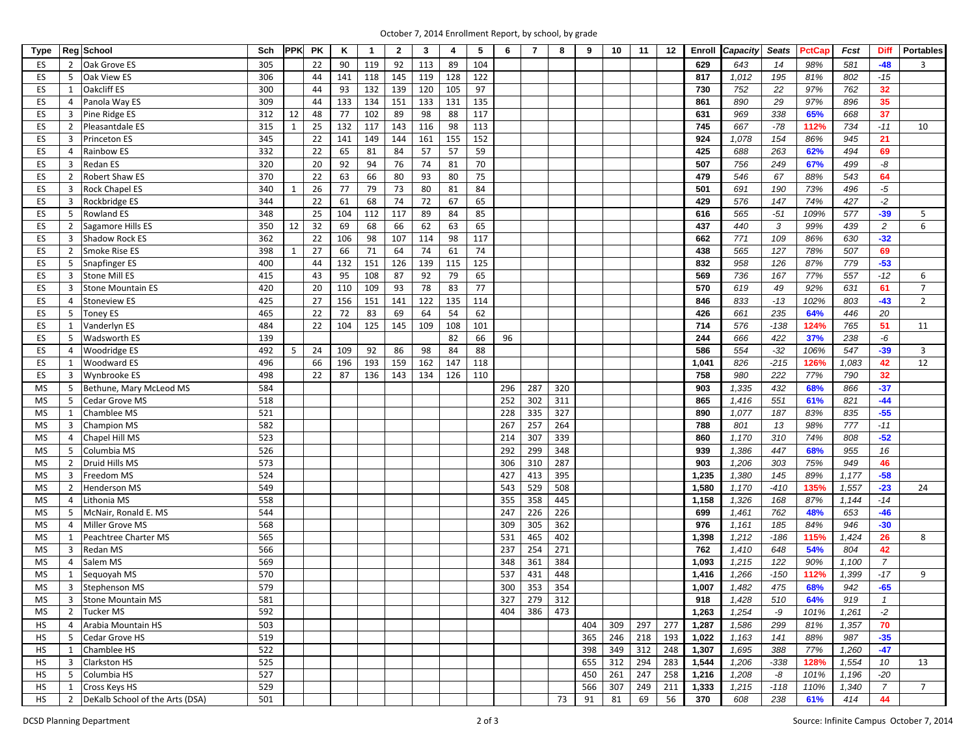| October 7, 2014 Enrollment Report, by school, by grade |  |  |
|--------------------------------------------------------|--|--|
|--------------------------------------------------------|--|--|

| <b>Type</b> |                | Reg School                      | Sch |    | <b>PPK PK</b> | K   | $\mathbf{1}$ | $\overline{2}$ | 3   | 4   | 5   | 6   | 7   | 8   | 9   | 10  | 11  | 12  | Enroll | Capacity | <b>Seats</b> | PctCap | Fcst  | <b>Diff</b>    | <b>Portables</b> |
|-------------|----------------|---------------------------------|-----|----|---------------|-----|--------------|----------------|-----|-----|-----|-----|-----|-----|-----|-----|-----|-----|--------|----------|--------------|--------|-------|----------------|------------------|
| ES          | $\overline{2}$ | Oak Grove ES                    | 305 |    | 22            | 90  | 119          | 92             | 113 | 89  | 104 |     |     |     |     |     |     |     | 629    | 643      | 14           | 98%    | 581   | $-48$          | 3                |
| ES          | 5              | Oak View ES                     | 306 |    | 44            | 141 | 118          | 145            | 119 | 128 | 122 |     |     |     |     |     |     |     | 817    | 1,012    | 195          | 81%    | 802   | $-15$          |                  |
| ES          | 1              | <b>Oakcliff ES</b>              | 300 |    | 44            | 93  | 132          | 139            | 120 | 105 | 97  |     |     |     |     |     |     |     | 730    | 752      | 22           | 97%    | 762   | 32             |                  |
| ES          | 4              | Panola Way ES                   | 309 |    | 44            | 133 | 134          | 151            | 133 | 131 | 135 |     |     |     |     |     |     |     | 861    | 890      | 29           | 97%    | 896   | 35             |                  |
| ES          | 3              | Pine Ridge ES                   | 312 | 12 | 48            | 77  | 102          | 89             | 98  | 88  | 117 |     |     |     |     |     |     |     | 631    | 969      | 338          | 65%    | 668   | 37             |                  |
| ES          | 2              | Pleasantdale ES                 | 315 | 1  | 25            | 132 | 117          | 143            | 116 | 98  | 113 |     |     |     |     |     |     |     | 745    | 667      | $-78$        | 112%   | 734   | $-11$          | 10               |
| ES          | 3              | <b>Princeton ES</b>             | 345 |    | 22            | 141 | 149          | 144            | 161 | 155 | 152 |     |     |     |     |     |     |     | 924    | 1,078    | 154          | 86%    | 945   | 21             |                  |
| ES          | 4              | Rainbow ES                      | 332 |    | 22            | 65  | 81           | 84             | 57  | 57  | 59  |     |     |     |     |     |     |     | 425    | 688      | 263          | 62%    | 494   | 69             |                  |
| ES          | 3              | <b>Redan ES</b>                 | 320 |    | 20            | 92  | 94           | 76             | 74  | 81  | 70  |     |     |     |     |     |     |     | 507    | 756      | 249          | 67%    | 499   | -8             |                  |
| ES          | $\overline{2}$ | Robert Shaw ES                  | 370 |    | 22            | 63  | 66           | 80             | 93  | 80  | 75  |     |     |     |     |     |     |     | 479    | 546      | 67           | 88%    | 543   | 64             |                  |
| ES          | 3              | Rock Chapel ES                  | 340 |    | 26            | 77  | 79           | 73             | 80  | 81  | 84  |     |     |     |     |     |     |     | 501    | 691      | 190          | 73%    | 496   | $-5$           |                  |
| ES          | 3              | Rockbridge ES                   | 344 |    | 22            | 61  | 68           | 74             | 72  | 67  | 65  |     |     |     |     |     |     |     | 429    | 576      | 147          | 74%    | 427   | $-2$           |                  |
| ES          | 5              | <b>Rowland ES</b>               | 348 |    | 25            | 104 | 112          | 117            | 89  | 84  | 85  |     |     |     |     |     |     |     | 616    | 565      | $-51$        | 109%   | 577   | $-39$          | 5                |
| ES          | $\overline{2}$ | Sagamore Hills ES               | 350 | 12 | 32            | 69  | 68           | 66             | 62  | 63  | 65  |     |     |     |     |     |     |     | 437    | 440      | 3            | 99%    | 439   | 2              | 6                |
| ES          |                |                                 | 362 |    | 22            | 106 | 98           | 107            | 114 | 98  | 117 |     |     |     |     |     |     |     | 662    | 771      | 109          | 86%    | 630   | $-32$          |                  |
|             | 3              | <b>Shadow Rock ES</b>           |     |    |               |     |              |                |     |     |     |     |     |     |     |     |     |     |        |          |              |        |       |                |                  |
| ES          | $\overline{2}$ | Smoke Rise ES                   | 398 | -1 | 27            | 66  | 71           | 64             | 74  | 61  | 74  |     |     |     |     |     |     |     | 438    | 565      | 127          | 78%    | 507   | 69             |                  |
| ES          | 5              | <b>Snapfinger ES</b>            | 400 |    | 44            | 132 | 151          | 126            | 139 | 115 | 125 |     |     |     |     |     |     |     | 832    | 958      | 126          | 87%    | 779   | $-53$          |                  |
| ES          | 3              | <b>Stone Mill ES</b>            | 415 |    | 43            | 95  | 108          | 87             | 92  | 79  | 65  |     |     |     |     |     |     |     | 569    | 736      | 167          | 77%    | 557   | $-12$          | 6                |
| ES          | 3              | <b>Stone Mountain ES</b>        | 420 |    | 20            | 110 | 109          | 93             | 78  | 83  | 77  |     |     |     |     |     |     |     | 570    | 619      | 49           | 92%    | 631   | 61             | $\overline{7}$   |
| ES          | 4              | <b>Stoneview ES</b>             | 425 |    | 27            | 156 | 151          | 141            | 122 | 135 | 114 |     |     |     |     |     |     |     | 846    | 833      | $-13$        | 102%   | 803   | $-43$          | $\overline{2}$   |
| ES          | 5              | <b>Toney ES</b>                 | 465 |    | 22            | 72  | 83           | 69             | 64  | 54  | 62  |     |     |     |     |     |     |     | 426    | 661      | 235          | 64%    | 446   | 20             |                  |
| ES          | 1              | Vanderlyn ES                    | 484 |    | 22            | 104 | 125          | 145            | 109 | 108 | 101 |     |     |     |     |     |     |     | 714    | 576      | $-138$       | 124%   | 765   | 51             | 11               |
| ES          | 5              | <b>Wadsworth ES</b>             | 139 |    |               |     |              |                |     | 82  | 66  | 96  |     |     |     |     |     |     | 244    | 666      | 422          | 37%    | 238   | -6             |                  |
| ES          | 4              | Woodridge ES                    | 492 | 5  | 24            | 109 | 92           | 86             | 98  | 84  | 88  |     |     |     |     |     |     |     | 586    | 554      | $-32$        | 106%   | 547   | $-39$          | $\overline{3}$   |
| ES          | 1              | Woodward ES                     | 496 |    | 66            | 196 | 193          | 159            | 162 | 147 | 118 |     |     |     |     |     |     |     | 1,041  | 826      | $-215$       | 126%   | 1,083 | 42             | 12               |
| ES          | 3              | Wynbrooke ES                    | 498 |    | 22            | 87  | 136          | 143            | 134 | 126 | 110 |     |     |     |     |     |     |     | 758    | 980      | 222          | 77%    | 790   | 32             |                  |
| <b>MS</b>   | 5              | Bethune, Mary McLeod MS         | 584 |    |               |     |              |                |     |     |     | 296 | 287 | 320 |     |     |     |     | 903    | 1,335    | 432          | 68%    | 866   | $-37$          |                  |
| MS          | 5              | Cedar Grove MS                  | 518 |    |               |     |              |                |     |     |     | 252 | 302 | 311 |     |     |     |     | 865    | 1,416    | 551          | 61%    | 821   | $-44$          |                  |
| MS          | $\mathbf{1}$   | Chamblee MS                     | 521 |    |               |     |              |                |     |     |     | 228 | 335 | 327 |     |     |     |     | 890    | 1,077    | 187          | 83%    | 835   | $-55$          |                  |
| MS          | 3              | <b>Champion MS</b>              | 582 |    |               |     |              |                |     |     |     | 267 | 257 | 264 |     |     |     |     | 788    | 801      | 13           | 98%    | 777   | $-11$          |                  |
| MS          | 4              | Chapel Hill MS                  | 523 |    |               |     |              |                |     |     |     | 214 | 307 | 339 |     |     |     |     | 860    | 1,170    | 310          | 74%    | 808   | $-52$          |                  |
| MS          | 5              | Columbia MS                     | 526 |    |               |     |              |                |     |     |     | 292 | 299 | 348 |     |     |     |     | 939    | 1,386    | 447          | 68%    | 955   | 16             |                  |
| MS          | $\overline{2}$ | Druid Hills MS                  | 573 |    |               |     |              |                |     |     |     | 306 | 310 | 287 |     |     |     |     | 903    | 1,206    | 303          | 75%    | 949   | 46             |                  |
| MS          | 3              | Freedom MS                      | 524 |    |               |     |              |                |     |     |     | 427 | 413 | 395 |     |     |     |     | 1,235  | 1,380    | 145          | 89%    | 1,177 | $-58$          |                  |
| MS          | $\overline{2}$ | <b>Henderson MS</b>             | 549 |    |               |     |              |                |     |     |     | 543 | 529 | 508 |     |     |     |     | 1,580  | 1,170    | $-410$       | 135%   | 1,557 | $-23$          | 24               |
| MS          | 4              | Lithonia MS                     | 558 |    |               |     |              |                |     |     |     | 355 | 358 | 445 |     |     |     |     | 1,158  | 1,326    | 168          | 87%    | 1,144 | $-14$          |                  |
| MS          | 5              | McNair, Ronald E. MS            | 544 |    |               |     |              |                |     |     |     | 247 | 226 | 226 |     |     |     |     | 699    | 1,461    | 762          | 48%    | 653   | $-46$          |                  |
| MS          | 4              | Miller Grove MS                 | 568 |    |               |     |              |                |     |     |     | 309 | 305 | 362 |     |     |     |     | 976    | 1,161    | 185          | 84%    | 946   | $-30$          |                  |
| MS          | 1              | Peachtree Charter MS            | 565 |    |               |     |              |                |     |     |     | 531 | 465 | 402 |     |     |     |     | 1,398  | 1,212    | $-186$       | 115%   | 1,424 | 26             | 8                |
| MS          | 3              | <b>Redan MS</b>                 | 566 |    |               |     |              |                |     |     |     | 237 | 254 | 271 |     |     |     |     | 762    | 1,410    | 648          | 54%    | 804   | 42             |                  |
| MS          | 4              | Salem MS                        | 569 |    |               |     |              |                |     |     |     | 348 | 361 | 384 |     |     |     |     | 1,093  | 1,215    | 122          | 90%    | 1,100 | $\overline{7}$ |                  |
| MS          | 1              | Sequoyah MS                     | 570 |    |               |     |              |                |     |     |     | 537 | 431 | 448 |     |     |     |     | 1,416  | 1,266    | $-150$       | 112%   | 1,399 | $-17$          | 9                |
| <b>MS</b>   | 3              | <b>Stephenson MS</b>            | 579 |    |               |     |              |                |     |     |     | 300 | 353 | 354 |     |     |     |     | 1,007  | 1,482    | 475          | 68%    | 942   | $-65$          |                  |
| МS          | 3              | <b>Stone Mountain MS</b>        | 581 |    |               |     |              |                |     |     |     | 327 | 279 | 312 |     |     |     |     | 918    | 1,428    | 510          | 64%    | 919   | $\mathbf{1}$   |                  |
| MS          | 2              | <b>Tucker MS</b>                | 592 |    |               |     |              |                |     |     |     | 404 | 386 | 473 |     |     |     |     | 1,263  | 1,254    | -9           | 101%   | 1,261 | $-2$           |                  |
| <b>HS</b>   | 4              | Arabia Mountain HS              | 503 |    |               |     |              |                |     |     |     |     |     |     | 404 | 309 | 297 | 277 | 1,287  | 1,586    | 299          | 81%    | 1,357 | 70             |                  |
| HS.         | 5              | Cedar Grove HS                  | 519 |    |               |     |              |                |     |     |     |     |     |     | 365 | 246 | 218 | 193 | 1,022  | 1,163    | 141          | 88%    | 987   | $-35$          |                  |
| <b>HS</b>   | 1              | Chamblee HS                     | 522 |    |               |     |              |                |     |     |     |     |     |     | 398 | 349 | 312 | 248 | 1,307  | 1,695    | 388          | 77%    | 1,260 | $-47$          |                  |
| <b>HS</b>   | 3              | <b>Clarkston HS</b>             | 525 |    |               |     |              |                |     |     |     |     |     |     | 655 | 312 | 294 | 283 | 1,544  | 1,206    | $-338$       | 128%   | 1,554 | 10             | 13               |
| HS          | 5              | Columbia HS                     | 527 |    |               |     |              |                |     |     |     |     |     |     | 450 | 261 | 247 | 258 | 1,216  | 1,208    | -8           | 101%   | 1,196 | $-20$          |                  |
| HS.         | 1              | Cross Keys HS                   | 529 |    |               |     |              |                |     |     |     |     |     |     | 566 | 307 | 249 | 211 | 1,333  | 1,215    | $-118$       | 110%   | 1,340 | $\overline{7}$ | $7\overline{ }$  |
| HS          | $\overline{2}$ | DeKalb School of the Arts (DSA) | 501 |    |               |     |              |                |     |     |     |     |     | 73  | 91  | 81  | 69  | 56  | 370    | 608      | 238          | 61%    | 414   | 44             |                  |